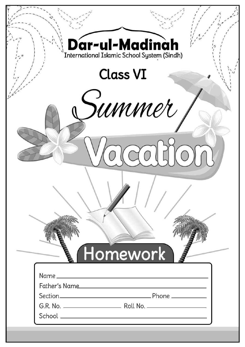| Dar-ul-Madinah  |  |
|-----------------|--|
| <b>Class VI</b> |  |
| summer          |  |
|                 |  |
|                 |  |
|                 |  |
| Homework        |  |
|                 |  |
| Father's Name   |  |
|                 |  |
|                 |  |
|                 |  |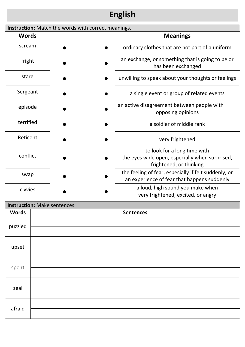# **English**

| Instruction: Match the words with correct meanings. |  |                                                                                                     |  |  |  |
|-----------------------------------------------------|--|-----------------------------------------------------------------------------------------------------|--|--|--|
| <b>Words</b>                                        |  | <b>Meanings</b>                                                                                     |  |  |  |
| scream                                              |  | ordinary clothes that are not part of a uniform                                                     |  |  |  |
| fright                                              |  | an exchange, or something that is going to be or<br>has been exchanged                              |  |  |  |
| stare                                               |  | unwilling to speak about your thoughts or feelings                                                  |  |  |  |
| Sergeant                                            |  | a single event or group of related events                                                           |  |  |  |
| episode                                             |  | an active disagreement between people with<br>opposing opinions                                     |  |  |  |
| terrified                                           |  | a soldier of middle rank                                                                            |  |  |  |
| Reticent                                            |  | very frightened                                                                                     |  |  |  |
|                                                     |  | to look for a long time with                                                                        |  |  |  |
| conflict                                            |  | the eyes wide open, especially when surprised,<br>frightened, or thinking                           |  |  |  |
| swap                                                |  | the feeling of fear, especially if felt suddenly, or<br>an experience of fear that happens suddenly |  |  |  |
| civvies                                             |  | a loud, high sound you make when<br>very frightened, excited, or angry                              |  |  |  |

### **Instruction:** Make sentences.

| <b>Words</b> | <b>Sentences</b> |
|--------------|------------------|
| puzzled      |                  |
| upset        |                  |
| spent        |                  |
| zeal         |                  |
| afraid       |                  |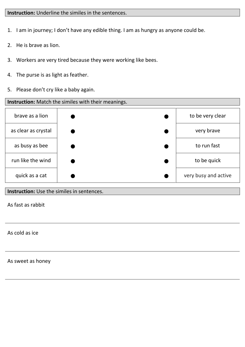#### **Instruction:** Underline the similes in the sentences.

- 1. I am in journey; I don't have any edible thing. I am as hungry as anyone could be.
- 2. He is brave as lion.
- 3. Workers are very tired because they were working like bees.
- 4. The purse is as light as feather.
- 5. Please don't cry like a baby again.



#### **Instruction:** Use the similes in sentences.

As fast as rabbit

As cold as ice

As sweet as honey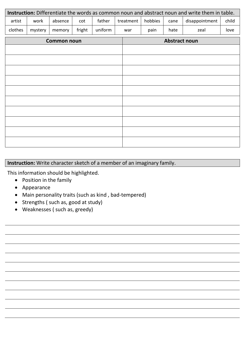|         | Instruction: Differentiate the words as common noun and abstract noun and write them in table. |                    |        |         |           |         |                      |                |       |
|---------|------------------------------------------------------------------------------------------------|--------------------|--------|---------|-----------|---------|----------------------|----------------|-------|
| artist  | work                                                                                           | absence            | cot    | father  | treatment | hobbies | cane                 | disappointment | child |
| clothes | mystery                                                                                        | memory             | fright | uniform | war       | pain    | hate                 | zeal           | love  |
|         |                                                                                                | <b>Common noun</b> |        |         |           |         | <b>Abstract noun</b> |                |       |
|         |                                                                                                |                    |        |         |           |         |                      |                |       |
|         |                                                                                                |                    |        |         |           |         |                      |                |       |
|         |                                                                                                |                    |        |         |           |         |                      |                |       |
|         |                                                                                                |                    |        |         |           |         |                      |                |       |
|         |                                                                                                |                    |        |         |           |         |                      |                |       |
|         |                                                                                                |                    |        |         |           |         |                      |                |       |
|         |                                                                                                |                    |        |         |           |         |                      |                |       |
|         |                                                                                                |                    |        |         |           |         |                      |                |       |
|         |                                                                                                |                    |        |         |           |         |                      |                |       |
|         |                                                                                                |                    |        |         |           |         |                      |                |       |

### **Instruction:** Write character sketch of a member of an imaginary family.

This information should be highlighted.

- Position in the family
- Appearance
- Main personality traits (such as kind , bad-tempered)
- Strengths ( such as, good at study)
- Weaknesses ( such as, greedy)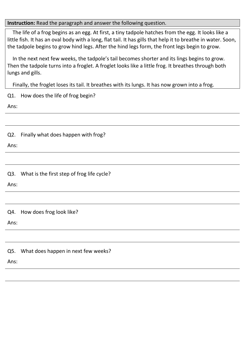#### **Instruction:** Read the paragraph and answer the following question.

 The life of a frog begins as an egg. At first, a tiny tadpole hatches from the egg. It looks like a little fish. It has an oval body with a long, flat tail. It has gills that help it to breathe in water. Soon, the tadpole begins to grow hind legs. After the hind legs form, the front legs begin to grow.

 In the next next few weeks, the tadpole's tail becomes shorter and its lings begins to grow. Then the tadpole turns into a froglet. A froglet looks like a little frog. It breathes through both lungs and gills.

Finally, the froglet loses its tail. It breathes with its lungs. It has now grown into a frog.

|      | Q1. How does the life of frog begin?           |
|------|------------------------------------------------|
| Ans: |                                                |
|      |                                                |
| Q2.  | Finally what does happen with frog?            |
| Ans: |                                                |
|      |                                                |
|      | Q3. What is the first step of frog life cycle? |
| Ans: |                                                |
|      |                                                |
| Q4.  | How does frog look like?                       |
| Ans: |                                                |
|      |                                                |
| Q5.  | What does happen in next few weeks?            |
| Ans: |                                                |
|      |                                                |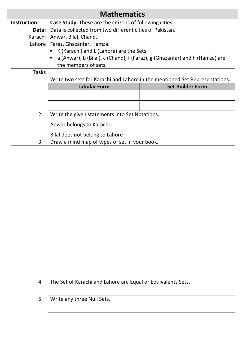### **Mathematics**

#### **Instruction: Case Study:** These are the citizens of following cities.

**Data:** Data is collected from two different cities of Pakistan.

Karachi Anwar, Bilal, Chand.

Lahore Faraz, Ghazanfar, Hamza.

- K (Karachi) and L (Lahore) are the Sets.
- a (Anwar), b (Bilal), c (Chand), f (Faraz), g (Ghazanfar) and h (Hamza) are the members of sets.

#### **Tasks**

1. Write two sets for Karachi and Lahore in the mentioned Set Representations.

| <b>Tabular Form</b> | <b>Set Builder Form</b> |
|---------------------|-------------------------|
|                     |                         |
|                     |                         |
|                     |                         |

2. Write the given statements into Set Notations.

Anwar belongs to Karachi

Bilal does not belong to Lahore

3. Draw a mind map of types of set in your book.

- 4. The Set of Karachi and Lahore are Equal or Equivalents Sets.
- 5. Write any three Null Sets.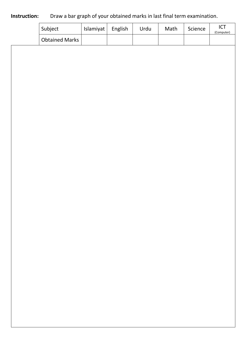#### **Instruction:** Draw a bar graph of your obtained marks in last final term examination.

| Subject               | Islamiyat | English | Urdu | Math | Science | ICT<br>(Computer) |
|-----------------------|-----------|---------|------|------|---------|-------------------|
| <b>Obtained Marks</b> |           |         |      |      |         |                   |
|                       |           |         |      |      |         |                   |
|                       |           |         |      |      |         |                   |
|                       |           |         |      |      |         |                   |
|                       |           |         |      |      |         |                   |
|                       |           |         |      |      |         |                   |
|                       |           |         |      |      |         |                   |
|                       |           |         |      |      |         |                   |
|                       |           |         |      |      |         |                   |
|                       |           |         |      |      |         |                   |
|                       |           |         |      |      |         |                   |
|                       |           |         |      |      |         |                   |
|                       |           |         |      |      |         |                   |
|                       |           |         |      |      |         |                   |
|                       |           |         |      |      |         |                   |
|                       |           |         |      |      |         |                   |
|                       |           |         |      |      |         |                   |
|                       |           |         |      |      |         |                   |
|                       |           |         |      |      |         |                   |
|                       |           |         |      |      |         |                   |
|                       |           |         |      |      |         |                   |
|                       |           |         |      |      |         |                   |
|                       |           |         |      |      |         |                   |
|                       |           |         |      |      |         |                   |
|                       |           |         |      |      |         |                   |
|                       |           |         |      |      |         |                   |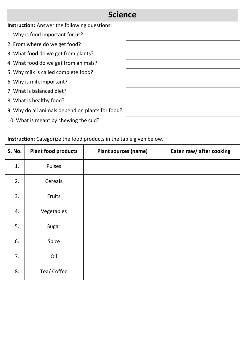# **Science**

**Instruction:** Answer the following questions:

- 1. Why is food important for us?
- 2. From where do we get food?
- 3. What food do we get from plants?
- 4. What food do we get from animals?
- 5. Why milk is called complete food?
- 6. Why is milk important?
- 7. What is balanced diet?
- 8. What is healthy food?
- 9. Why do all animals depend on plants for food?
- 10. What is meant by chewing the cud?

### **Instruction**: Categorize the food products in the table given below.

| S. No. | <b>Plant food products</b> | <b>Plant sources (name)</b> | Eaten raw/ after cooking |
|--------|----------------------------|-----------------------------|--------------------------|
| 1.     | Pulses                     |                             |                          |
| 2.     | Cereals                    |                             |                          |
| 3.     | Fruits                     |                             |                          |
| 4.     | Vegetables                 |                             |                          |
| 5.     | Sugar                      |                             |                          |
| 6.     | Spice                      |                             |                          |
| 7.     | Oil                        |                             |                          |
| 8.     | Tea/ Coffee                |                             |                          |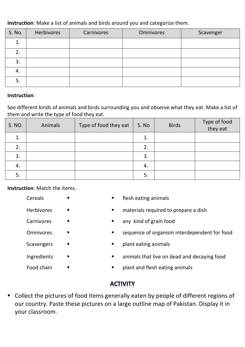#### **Instruction**: Make a list of animals and birds around you and categorize them.

| S. No. | Herbivores | Carnivores | <b>Omnivores</b> | Scavenger |
|--------|------------|------------|------------------|-----------|
| ⊥.     |            |            |                  |           |
| 2.     |            |            |                  |           |
| 3.     |            |            |                  |           |
| 4.     |            |            |                  |           |
| 5.     |            |            |                  |           |

#### **Instruction**:

See different kinds of animals and birds surrounding you and observe what they eat. Make a list of them and write the type of food they eat.

| S. NO. | Animals | Type of food they eat | S. No | <b>Birds</b> | Type of food<br>they eat |
|--------|---------|-----------------------|-------|--------------|--------------------------|
| 1.     |         |                       | 1.    |              |                          |
| 2.     |         |                       | 2.    |              |                          |
| 3.     |         |                       | 3.    |              |                          |
| 4.     |         |                       | 4.    |              |                          |
| 5.     |         |                       | 5.    |              |                          |

**Instruction**: Match the items.

Cereals **I exercise Cereals Exercise EXEC** Herbivores **EXECUTE:**  $\blacksquare$  Materials required to prepare a dish Carnivores any kind of grain food Omnivores **EXECUTE:** Sequence of organism interdependent for food Scavengers **I Exercise EXEC CONSIDER EXECUTE:** Ingredients  $\Box$ Food chain  $\blacksquare$ 

### **ACTIVITY**

 Collect the pictures of food items generally eaten by people of different regions of our country. Paste these pictures on a large outline map of Pakistan. Display it in your classroom.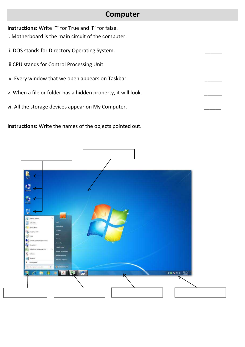### **Computer**

**Instructions:** Write 'T' for True and 'F' for false.

- i. Motherboard is the main circuit of the computer.
- ii. DOS stands for Directory Operating System.
- iii CPU stands for Control Processing Unit.
- iv. Every window that we open appears on Taskbar.
- v. When a file or folder has a hidden property, it will look.
- vi. All the storage devices appear on My Computer.

**Instructions:** Write the names of the objects pointed out.

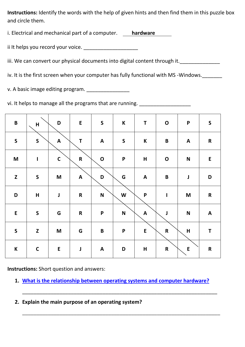**Instructions:** Identify the words with the help of given hints and then find them in this puzzle box and circle them.

i. Electrical and mechanical part of a computer. **hardware**

ii It helps you record your voice. \_\_\_\_\_\_\_\_\_\_\_\_\_\_\_\_\_\_\_

iii. We can convert our physical documents into digital content through it. \_\_\_\_\_\_\_\_\_\_\_\_\_\_\_\_\_\_\_\_\_\_\_\_

iv. It is the first screen when your computer has fully functional with MS -Windows.

v. A basic image editing program. \_\_\_\_\_\_\_\_\_\_\_\_\_\_\_

vi. It helps to manage all the programs that are running.

| $\pmb B$                                                                              | $\mathsf{H}$ | $\mathsf D$                                                                           | ${\sf E}$    | $\mathsf{S}$              | $\mathsf K$               | T                         | $\mathbf O$        | $\boldsymbol{\mathsf{P}}$                                                             | $\mathsf{S}$ |
|---------------------------------------------------------------------------------------|--------------|---------------------------------------------------------------------------------------|--------------|---------------------------|---------------------------|---------------------------|--------------------|---------------------------------------------------------------------------------------|--------------|
| $\mathsf{S}$                                                                          | $\mathsf{S}$ | $\mathbf{A}$                                                                          | $\mathsf T$  | $\mathsf{A}$              | $\mathsf S$               | $\mathsf K$               | $\, {\bf B} \,$    | $\mathsf{A}$                                                                          | ${\bf R}$    |
| $\mathsf{M}% _{T}=\mathsf{M}_{T}\!\left( a,b\right) ,\ \mathsf{M}_{T}=\mathsf{M}_{T}$ | $\mathbf{I}$ | $\mathsf C$                                                                           | ${\sf R}$    | $\mathbf O$               | $\boldsymbol{\mathsf{P}}$ | H                         | $\mathbf O$        | $\mathbf N$                                                                           | $\sf E$      |
| $\mathbf Z$                                                                           | $\mathsf S$  | $\mathbf M$                                                                           | $\mathbf{A}$ | $\mathbf D$               | G                         | $\mathbf{A}$              | $\pmb B$           | J                                                                                     | $\mathbf D$  |
| $\mathbf D$                                                                           | $\mathsf{H}$ | $\pmb{\mathsf{J}}$                                                                    | ${\sf R}$    | $\boldsymbol{\mathsf{N}}$ | W                         | $\boldsymbol{\mathsf{P}}$ | $\mathbf{I}$       | $\mathsf{M}% _{T}=\mathsf{M}_{T}\!\left( a,b\right) ,\ \mathsf{M}_{T}=\mathsf{M}_{T}$ | ${\sf R}$    |
| ${\sf E}$                                                                             | $\mathsf{S}$ | G                                                                                     | ${\sf R}$    | $\mathsf{P}$              | $\boldsymbol{\mathsf{N}}$ | $\mathsf{A}$              | $\pmb{\mathsf{J}}$ | $\boldsymbol{\mathsf{N}}$                                                             | $\mathbf{A}$ |
| $\boldsymbol{\mathsf{S}}$                                                             | $\mathbf{Z}$ | $\mathsf{M}% _{T}=\mathsf{M}_{T}\!\left( a,b\right) ,\ \mathsf{M}_{T}=\mathsf{M}_{T}$ | G            | $\pmb B$                  | $\boldsymbol{\mathsf{P}}$ | ${\sf E}$                 | $\mathsf R$        | $\mathsf{H}%$                                                                         | $\mathbf T$  |
| $\boldsymbol{\mathsf{K}}$                                                             | $\mathsf C$  | ${\sf E}$                                                                             | $\mathbf J$  | $\mathsf{A}$              | D                         | $\mathsf H$               | ${\sf R}$          | ${\sf E}$                                                                             | ${\sf R}$    |

**Instructions:** Short question and answers:

**1. [What is the relationship between operating systems and computer hardware?](https://www.tutorialspoint.com/operating_system/os_overview_qa1.htm)**

\_\_\_\_\_\_\_\_\_\_\_\_\_\_\_\_\_\_\_\_\_\_\_\_\_\_\_\_\_\_\_\_\_\_\_\_\_\_\_\_\_\_\_\_\_\_\_\_\_\_\_\_\_\_\_\_\_\_\_\_\_\_\_\_\_\_\_\_

**\_\_\_\_\_\_\_\_\_\_\_\_\_\_\_\_\_\_\_\_\_\_\_\_\_\_\_\_\_\_\_\_\_\_\_\_\_\_\_\_\_\_\_\_\_\_\_\_\_\_\_\_\_\_\_\_\_\_\_\_\_\_\_\_\_\_\_\_\_**

**2. Explain the main purpose of an operating system?**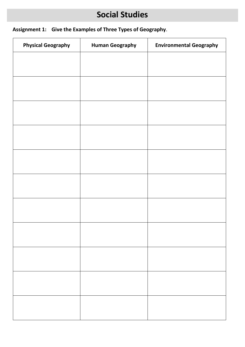# **Social Studies**

### **Assignment 1: Give the Examples of Three Types of Geography**.

| <b>Human Geography</b> | <b>Environmental Geography</b> |
|------------------------|--------------------------------|
|                        |                                |
|                        |                                |
|                        |                                |
|                        |                                |
|                        |                                |
|                        |                                |
|                        |                                |
|                        |                                |
|                        |                                |
|                        |                                |
|                        |                                |
|                        |                                |
|                        |                                |
|                        |                                |
|                        |                                |
|                        |                                |
|                        |                                |
|                        |                                |
|                        |                                |
|                        |                                |
|                        |                                |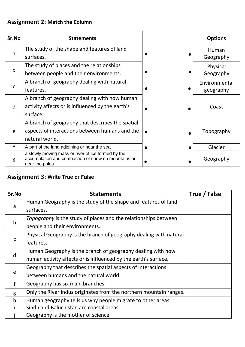### **Assignment 2: Match the Column**

| Sr.No        | <b>Statements</b>                                                                                                           | <b>Options</b> |
|--------------|-----------------------------------------------------------------------------------------------------------------------------|----------------|
|              | The study of the shape and features of land                                                                                 | Human          |
| a            | surfaces.                                                                                                                   | Geography      |
| $\mathbf b$  | The study of places and the relationships                                                                                   | Physical       |
|              | between people and their environments.                                                                                      | Geography      |
|              | A branch of geography dealing with natural                                                                                  | Environmental  |
| $\mathsf{C}$ | features.                                                                                                                   | geography      |
|              | A branch of geography dealing with how human                                                                                |                |
| d            | activity affects or is influenced by the earth's                                                                            | Coast          |
|              | surface.                                                                                                                    |                |
|              | A branch of geography that describes the spatial                                                                            |                |
| e            | aspects of interactions between humans and the                                                                              | Topography     |
|              | natural world.                                                                                                              |                |
|              | A part of the land adjoining or near the sea                                                                                | Glacier        |
| g            | a slowly moving mass or river of ice formed by the<br>accumulation and compaction of snow on mountains or<br>near the poles | Geography      |

### **Assignment 3:** Write True or False

| Sr.No        | <b>Statements</b>                                                  | True / False |
|--------------|--------------------------------------------------------------------|--------------|
|              | Human Geography is the study of the shape and features of land     |              |
| a            | surfaces.                                                          |              |
|              | Topography is the study of places and the relationships between    |              |
| $\mathsf b$  | people and their environments.                                     |              |
|              | Physical Geography is the branch of geography dealing with natural |              |
| $\mathsf{C}$ | features.                                                          |              |
|              | Human Geography is the branch of geography dealing with how        |              |
| d            | human activity affects or is influenced by the earth's surface.    |              |
|              | Geography that describes the spatial aspects of interactions       |              |
| e            | between humans and the natural world.                              |              |
| $\mathbf f$  | Geography has six main branches.                                   |              |
| g            | Only the River Indus originates from the northern mountain ranges. |              |
| h            | Human geography tells us why people migrate to other areas.        |              |
|              | Sindh and Baluchistan are coastal areas.                           |              |
|              | Geography is the mother of science.                                |              |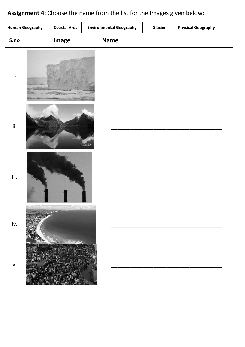# **Assignment 4:** Choose the name from the list for the Images given below:

|      | <b>Human Geography</b> | <b>Coastal Area</b> | <b>Environmental Geography</b> | Glacier | <b>Physical Geography</b> |  |
|------|------------------------|---------------------|--------------------------------|---------|---------------------------|--|
| S.no |                        | Image               | <b>Name</b>                    |         |                           |  |
| i.   |                        |                     |                                |         |                           |  |
| ii.  |                        |                     | <b>ISLANDS</b>                 |         |                           |  |
| iii. |                        |                     |                                |         |                           |  |
| iv.  |                        |                     |                                |         |                           |  |
| v.   |                        |                     |                                |         |                           |  |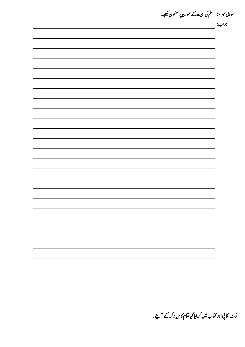سوال نمبر 5: معلم کی اہمیت کے عنوان پر مضمون <del>لکھی</del>ے۔ وجاب:

نوٹ: کاپی اور کتاب میں کر ایا گیاتمام کام یاد کرکے آئے۔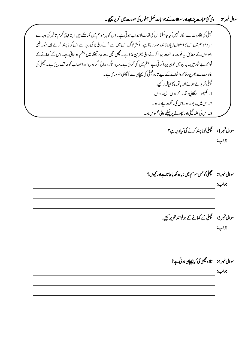## سوال نمبر ۴: دی گئی عبارت پڑھیے اور سوالات کے جوابات مکمل جملوں کی صورت میں تحریر کیچیے۔

مچھلی کی افادیت سے انکار نہیں کیاجا سکتااس کی لذت لاجواب ہوتی ہے ۔اس کو ہر موسم میں کھاسکتے ہیں البتہ اپنی گرم تاثیر کی وجہ سے سر د موسم میں اس کا استعال زیادہ فائدہ مند رہتا ہے۔ اکثر لوگ اس میں سے آنے والی بو کی وجہ سے اس کو نا پسند کرتے ہیں جبکہ طبی اصولوں کے مطابق ہیہ قوت مدافعت پید اکرنے والی بہترین غذا ہے۔ مچھلی تین سے جار گھنٹے میں ہضم ہو جاتی ہے۔ اس کے کھانے کے فوائد بے شار ہیں۔ بدن میں خون پید اکر تی ہے، بلغم میں کمی کرتی ہے۔ دل، حگر ، دماغ ، گر دوں اور اعصاب کو طاقت دیتی ہے۔ مچھلی کی افادیت سے بھر پور فائدہ اٹھانے کے لیے تازہ مچھلی کی پیچان سے آگاہی ضروری ہے۔ مچھلی خرید تے ہوئے ان باتوں کا خیال رکھیے۔ 1۔ گلیپھڑے گلانی<sub>ا</sub>ر نگ کے ہوں لال نہ ہوں۔  $\overline{1}$ 2۔ اس میں بد بونہ ہو۔اس کی رنگت ساہ نہ ہو۔ 3۔اس کی حلد گیلی اور حچونے پر چیکنے والی محسوس ہو۔ سوال نمبر 1: سمچھلی کوناپسند کرنے کی کیاوجہ ہے؟ وجاب: سوال نمبر 2: سمچھلی کوکس موسم میں زیادہ کھایاجا تاہے اور کیوں؟ وجاب: سوال نمبر 3: سمچھلی کے کھانے کے دوفوائد تحریر کیجیے۔ وجاب: سوال نمبر4: میتخارہ مچھلی کی کیا پیچان ہوتی ہے؟ وجاب: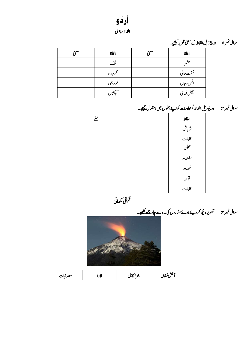

الفاظ سازی

سوال نمبرا: درج ذیل الفاظ کے معنی تحریر کیجیے۔

| موء | الفاظ      | موء | الفاظ                     |
|-----|------------|-----|---------------------------|
|     | فلك        |     | ÷.                        |
|     | لردٍراه    |     | ر<br>م <sub>شت</sub> خاکی |
|     | خو د بخو د |     | انس و جاں                 |
|     | هكشال      |     | چېل قد می                 |

# سوال نمبر ٢: درج ذیل الفاظ/محاورات کواپنے جملوں میں استعال کیجیے۔

ے

| بھلے | الفاظ                    |
|------|--------------------------|
|      | شاباش                    |
|      | تابلیت<br>محقلمند        |
|      |                          |
|      | سلطنت<br>——              |
|      | عكمت                     |
|      | $\bullet\bullet$<br>وجبر |
|      | .<br>قابلى <sub>ت</sub>  |

یقیلخت اھکلیئ



| معدنيات | ٠١١<br>$\sim$ | ккіі<br>., | فلنس قشال |
|---------|---------------|------------|-----------|
|---------|---------------|------------|-----------|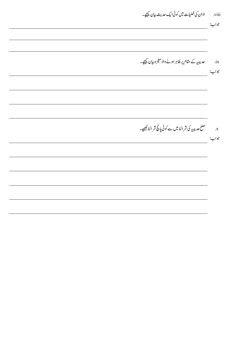viii. اذان کی فضیات میں کوئی ایک حدیث بیان <u>تیجی</u>ے۔ جواب: ix. مصر پیبیہ کے مقام پر ظاہر ہونے والا معجزہ بیان <u>تیجی</u>ے۔ جواب: x. حلص صلح حدیبیہ کی شرائط میں سے کوئی پانچ شرائط لکھیے۔ وجاب: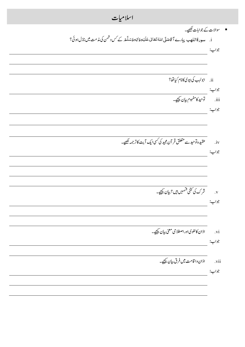اسلام**یات** ■ سوالات کے جوابات <del>ک</del>ھیے۔ i. سورةاللهب پيارے آ قاصَلَّى اللهُ تَعَانىٰ عَلَيۡدِوَاٰلِهٖوَسَلَّٰهَ كے َس دشمن كى مذمت ميں نازل ہوئى؟ ً<br>۽ <u>َ</u> ہ<br>آ <u>ً</u> َ ى <u>:</u> ֦֧<u>֓</u> .<br>آ <u>ً</u> ى َ َ ہ<br>آ ة<br>أ ٍ<br>پ جواب:<br>ii. ابولہب کی بیوی کانام کیاتھا؟ جواب: .<br>iii. توحید کامفہوم بیان <u>شیح</u>ے۔ وجاب: iv. دیتھیں او حید سے متعلق قر آن مجید کی کسی ایک آیت کاتر جمہ کھیے۔ وجاب: v. رشک یک ینتک ںیمسق ںیہ ؟ ایبن ےیجیک۔ وجاب: vi. اذان کالغوی اور اصطلاحی معنی بیان <u>سیجی</u>ے جواب: vii. اذان وا قامت میں فرق بیان <u>تیجی</u>ے۔ وجاب: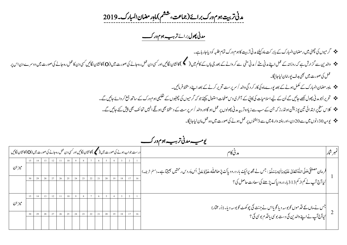مدنی تربیت ہوم درک برائے(جماعت، ششم) ماہِر مضان المبارک۔2019

 *دمین وھپل* رباےئ *رہیب وہم ورک ت* 

- رگویمں یک یٹھچ ںیم راضمن اابملرک ےک اب ربتک امہ ےئلیک دمین رتتیب اک وہم ورک امتم ہبلط وک دای اج راہ ےہ ۔
- وادلنی ےس زگارش ےہ ہک روزاہن ےک لمع اےنپ دمین ےّنم/دمین یّنم ےسرکواےنےک دعب یج اہں ےک اکمل ںیم) (اک اشنن اگلںیئ اور یسک دن لمع رہ اجےن یک وصرت ںیم )O)اک اشنن اگلںیئ یسک دن اک لمع رہ اجےن یک وصرت ںیم دورسے دن اس رپ عمل کی صورت میں بھی ہدف یورامان لیاجائیگا۔
	- امہِراضمناابملرکےکلمکم وہےن ےک دعب وپرے امہ یک اکررکدیگ وادل/رسرپتس رحتری رکےن ےک دعب اےنپ دطختس رفامںیئ ۔
	- رحتریااوجدمینوھپلےھکلاجںیئےگاُنےکےیلاالسایمتیکاکیپےکٓارخیدساحفصتاامعتسلےئجیکوجہکرگویمںیکویٹھچںےکیمیلعتوہمورک ےک اسھت عمج رکواےئ اجںیئ ےگ ۔
		- الکس حطس رپ ادتبایئ نیت وپزنشی وہڈلرزہک نج ےک بس ےس زایدہ رتہیب دمین وھپولں رپ لمع وہاگ اور وادل/رسرپتس ےک دطختس یھب وہےگناںیہن احتفئ یھب شیپ ےئک اجںیئ ےگ۔
			- ویہیم 01دونں ںیم ےس 91دن ، اور ہتفہ وار 4ںیم ےس 0وتفہں رپ لمع وہےن یک وصرت ںیم وہ لمع امن ایل اجاگیئ۔

|        | درست جواب ہونے کی صورت میں (مسلم کانشان لگائیں اور کسی دن عمل رہ جانے کی صورت میں (O) کانشان لگائیں |    |    |  |    |    |    |    |        |          |    |    |    |    |    | مدني كام                                                                                                                                                            | تمبر شار |
|--------|-----------------------------------------------------------------------------------------------------|----|----|--|----|----|----|----|--------|----------|----|----|----|----|----|---------------------------------------------------------------------------------------------------------------------------------------------------------------------|----------|
|        |                                                                                                     |    |    |  |    |    |    |    |        | $\sigma$ |    |    |    |    |    |                                                                                                                                                                     |          |
| ميز ان |                                                                                                     |    |    |  |    |    |    |    |        |          |    |    |    |    |    | فرمان مصطفٰی صَلَّی اللّٰہُ تَعَالٰی عَلَیْدِ وَاٰلِهٖ وَسَلَّٰھَ : جس نے مجھ پرایکَ بار درود پاکَ پڑھا\ملّٰہ عَذَّوَجَلَّ اُس پَر د س رحمتیں بھیجتاہے۔(ملم شریف) [ |          |
|        |                                                                                                     | 29 | 28 |  | 26 | 25 | 24 | 23 | $22\,$ | 21       | 20 | 19 | 18 | 17 | 16 |                                                                                                                                                                     |          |
|        |                                                                                                     |    |    |  |    |    |    |    |        |          |    |    |    |    |    | ۔<br>ایپا آج آپ نے کم از کم313 بار درود پاک پڑھنے کی سعادت حاصل کی ؟                                                                                                |          |
|        |                                                                                                     |    |    |  |    |    |    |    |        | 6        |    |    |    |    |    |                                                                                                                                                                     |          |
| ميز ان |                                                                                                     |    |    |  |    |    |    |    |        |          |    |    |    |    |    | جس نے ماں کے قد موں کو بوسہ دیا گو یااس نے جنت کی چو کھٹ کو بوسہ دیا۔ (ڈر مخار)<br> <br>  کیاآج آپ نے اپنے والدین کی دست بوسی یا قدم بوسی کی؟                       |          |
|        |                                                                                                     | 29 |    |  | 26 | 25 | 24 | 23 | 22     | 21       | 20 | 19 | 18 |    | 16 |                                                                                                                                                                     |          |
|        |                                                                                                     |    |    |  |    |    |    |    |        |          |    |    |    |    |    |                                                                                                                                                                     |          |

 *ویہیم دمین رہیب وہم ورک ت*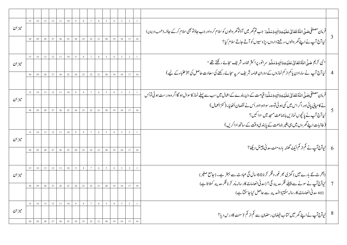|       |        |       |  |                         | 13 12 11 10 9 8                                           | 7 <sup>7</sup>   | 6               | $5\overline{)}$                                            |                |                         |                 |    |                                                                                                                                                          |                |
|-------|--------|-------|--|-------------------------|-----------------------------------------------------------|------------------|-----------------|------------------------------------------------------------|----------------|-------------------------|-----------------|----|----------------------------------------------------------------------------------------------------------------------------------------------------------|----------------|
| ميزان |        |       |  |                         |                                                           |                  |                 |                                                            |                |                         |                 |    | فرمان مصطفى حَهدَّى\مَلْهُ تَعَانىٰ عَلَيْهِ وَ\ٰنِهِۥوَسَدَّءَ: جب تم گھر میں آؤتوگھر والوں کو سلام کر واور جب حاؤتر جھی سلام کرکے حاؤ۔(شعبالایمان)<br> |                |
|       |        |       |  |                         | 29   28   27   26   25   24   23   22   21   20   19   18 |                  |                 |                                                            |                |                         | 17              |    | <br>  کیا آج آپ نے اپنے گھر والوں،ر شتے داروں، پڑوسیوں کو آتے جاتے سلام کیا؟                                                                             |                |
|       |        |       |  |                         |                                                           |                  |                 |                                                            |                |                         |                 |    |                                                                                                                                                          |                |
|       | $14 -$ |       |  | $13 \t12 \t11 \t10 \t9$ |                                                           | $8 \overline{7}$ | 6 <sup>1</sup>  | $\frac{5}{2}$                                              | 4 <sup>1</sup> | $\overline{\mathbf{3}}$ | $\overline{2}$  |    |                                                                                                                                                          |                |
| ميزان |        |       |  |                         |                                                           |                  |                 |                                                            |                |                         |                 |    | " نبى كريم صَلَّى\مَلْهُ تَعَالىٰ عَلَيْهِ وَاٰلِهِ وَسَلَّعَ سرانور پراكثر عمامه شريف سجائے ركھتے تھے "                                                 |                |
|       |        |       |  |                         | 29   28   27   26   25   24   23   22   21   20           |                  |                 |                                                            |                | $19$ 18                 | 17              | 16 | کیا آج آپ نے سارادن پاکم از کم نمازوں کے دوران عمامہ شریف سر پہ سجائے رکھنے کی سعادت حاصل کی ؟(طلباءکے لیے)                                              | $\overline{4}$ |
|       |        |       |  |                         |                                                           |                  |                 |                                                            |                |                         |                 |    |                                                                                                                                                          |                |
|       |        |       |  |                         |                                                           |                  |                 |                                                            |                |                         |                 |    |                                                                                                                                                          |                |
|       |        |       |  | $14$ 13 12 11 10 9      | $\sim$ 8                                                  | 7 <sup>7</sup>   | $6\overline{)}$ | 5 <sup>7</sup>                                             |                |                         |                 |    | فرمان مصطفٰی حَمدتؓ \مڈھُ قعَانیٰ عَلَیۡہِ وَاٰلِہٖوَسَلَّۃَ: قیامت کے دن بندے کے اعمال میں سب سے پہلے نماز کاسوال ہو گاا گروہ درست ہوئی تواُس           |                |
| ميزان |        |       |  |                         |                                                           |                  |                 |                                                            |                |                         |                 |    |                                                                                                                                                          |                |
|       |        |       |  |                         | 29 28 27 26 25 24 23 22 21 20 19 18                       |                  |                 |                                                            |                |                         | 17              |    | نے کامیابی پائی اور اگر اس میں کمی ہو ئی تو وہ رسواہو ااور اُس نے نقصان اُٹھایا۔ ( کنز العمال )                                                          |                |
|       |        |       |  |                         |                                                           |                  |                 |                                                            |                |                         |                 |    | کیا آج آپ نے پانچوں نمازیں باجماعت مسجد میں ادا کیں؟<br>۔                                                                                                |                |
|       |        |       |  |                         |                                                           |                  |                 |                                                            |                |                         |                 |    | (طالبات اپنے گھروں میں ہی بغیر جماعت کے پابندی دقت کے ساتھ اداکریں)                                                                                      |                |
|       |        |       |  |                         |                                                           |                  |                 |                                                            |                |                         | $\overline{2}$  |    |                                                                                                                                                          |                |
|       |        |       |  |                         | $14$ 13 12 11 10 9 8 7 6 5 4 3                            |                  |                 |                                                            |                |                         |                 |    |                                                                                                                                                          |                |
| ميزان |        |       |  |                         |                                                           |                  |                 |                                                            |                |                         |                 |    |                                                                                                                                                          |                |
|       |        |       |  |                         | 29 28 27 26 25 24 23 22 21 20 19 18                       |                  |                 |                                                            |                |                         | 17 <sup>°</sup> |    | 6   کیاآج آپ نے کم از کم ایک گھنٹہ بارہ منٹ مدنی چینل دیکھا؟                                                                                             |                |
|       |        |       |  |                         |                                                           |                  |                 |                                                            |                |                         |                 |    |                                                                                                                                                          |                |
|       |        |       |  |                         |                                                           |                  |                 |                                                            |                |                         |                 |    |                                                                                                                                                          |                |
|       |        |       |  |                         | $14$ 13 12 11 10 9 8 7 6 5 4 3                            |                  |                 |                                                            |                |                         | $\overline{2}$  |    | (آخرت کے بارے میں ) گھڑی ٹھر غور و فکر کر نا 60 سال کی عبادت سے بہتر ہے۔(جامع صغیر)                                                                      |                |
| ميزان |        |       |  |                         |                                                           |                  |                 |                                                            |                |                         |                 |    |                                                                                                                                                          |                |
|       | 29     | 28 27 |  |                         | 26 25 24 23 22 21 20                                      |                  |                 |                                                            | 19             | 18                      | $17-17$         |    | کیاآج آپ نے سونے سے پہلے فکر مدینہ کی؟ (مدنی انعامات کارسالہ پُر کرنا فکر مدینہ کہلاتا ہے)<br>                                                           | $\overline{7}$ |
|       |        |       |  |                         |                                                           |                  |                 |                                                            |                |                         |                 |    | (40 مدنی انعامات کارسالہ مکتبۃ المدینہ سے حاصل کیاجا کچاہے )                                                                                             |                |
|       | 14     | 12    |  | $11 \quad 10 \quad 9$   |                                                           |                  |                 | $\begin{array}{c ccccc} & 8 & & 7 & & 6 & & 5 \end{array}$ | 4              |                         |                 |    |                                                                                                                                                          |                |
| ميزان |        |       |  |                         |                                                           |                  |                 |                                                            |                |                         |                 |    | کیاآج آپ نے اپنے گھر میں کتاب فیضان ر مضان سے کم از کم 7 منٹ کادرس دیا؟                                                                                  | 8              |
|       |        |       |  |                         |                                                           |                  |                 |                                                            |                |                         |                 |    |                                                                                                                                                          |                |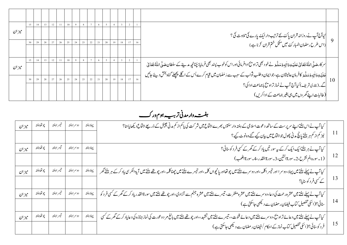| ميزان |    | 13 |    | 11 | 10 | $\overline{9}$ | 8  |    | 6  |    |    |    |  |                                                                                                                                                                                                        |    |
|-------|----|----|----|----|----|----------------|----|----|----|----|----|----|--|--------------------------------------------------------------------------------------------------------------------------------------------------------------------------------------------------------|----|
|       |    |    |    |    |    |                |    |    |    |    |    |    |  | <br> <br> <br> اس طرح ر مضان المبار ک <sup>ے</sup> میں مکل ختم قران کر ناہے)                                                                                                                           |    |
|       |    | 28 |    | 26 | 25 | 24             | 23 | 22 | 21 | 20 | 19 | 18 |  |                                                                                                                                                                                                        |    |
|       |    | 13 | 12 | 11 | 10 |                |    |    | 6  |    |    |    |  | سر کارځېدگّ \ملّٰهُ تَعَانىٰ عَلَيۡهِ وَ\ٰلِهٖوَ مَدَلَّـدَ نے نحو د بھی تراو تَرَادافرمائی اور اس کوخوب پسند بھی فرمایا: چُنانچِهِ مدینے کے سلطان صَلَّى \ملّٰهُ تَعَانىٰ                             |    |
| ميزان |    |    |    |    |    |                |    |    |    |    |    |    |  |                                                                                                                                                                                                        |    |
|       | 30 |    |    |    |    |                | 23 | 22 | 21 |    | 19 | 18 |  | عَلَیۡیُودَاٰنِہٖوَ مَدَلَّۃ کافرمانِ عالیثان ہے،جوایمان وطلب ِتواب کے سبب سے رَ مَضان میں قِیام کرے اُس کے اگلے پچچلے گناہ بخش دیئے جائیں<br>گے۔(بخاری شریف) کیا آج آپ نے نماز تراویح باجماعت ادا کی؟ | 10 |
|       |    |    |    |    |    |                |    |    |    |    |    |    |  |                                                                                                                                                                                                        |    |
|       |    |    |    |    |    |                |    |    |    |    |    |    |  | <br> (طالبات اپنے گھروں میں ہی بغیر جماعت کے اداکریں)                                                                                                                                                  |    |

*رہیب وہم ورک*  ہفت *دار مدنی تربی م*ہوم *ور* کے

| ميزان  | چو تھاہفتہ | تيسراهفته  | دوسراهفته | پہلاہفتہ | کیا آپ نے اس ہفتے اپنے سرپرست کے ساتھ دعوت اسلامی کے ہفتہ وارسنتوں بھرے اجتماع میں شر کت کی پاکم از کم مدنی چینل کے ذریعے اجتماع دیکھا پائنا؟<br>  نیز کم از کم ہر ہفتے پانچ مدنی پھول جو اجتماع میں بیان کیے گئے وہ نوٹ کیے ؟                | -11 |
|--------|------------|------------|-----------|----------|-----------------------------------------------------------------------------------------------------------------------------------------------------------------------------------------------------------------------------------------------|-----|
| ميز ان | چو تھاہفتہ | تيسراهفته  | دوسراهفته | پہلاہفتہ | کیا آپ نے ہریفتے ایک ایک کرکے پی <i>ہ س</i> ور تیں یاد کر <i>کے گھر کے کسی</i> فر د کوسنائی؟<br>  (1_سورەالم نشرح،2_سورةالنتين،3_سورةالقدر،4_سورةاللھب)                                                                                       | -12 |
| ميز ان | چو تھاہفتہ | تيسراهفته  | دوسراهفته | پہلاہفتہ | کیا آپ نے پہلے ہفتے میں پہلا، دوسر ا اور تیسر اکلمہ ،اور دوسرے ہفتے ہیں تھا کہ ،اور تیسرے ہفتے ہیں اچتے ہیں تا پیوالكرسى ياد كركے ہر ہفتے گھر<br>  کے کسی فر د کو بنایا؟                                                                      | 13  |
| ميزان  | چو تھاہفتہ | تيسر اہفته | دوسراهفته | پہلاہفتہ | کیا آپ نے پہلے ہفتے میں عشرہ رحمت کی دعا، دوسرے ہفتے میں عشرہ منفر سے ہفتے میں عشرہ جہنم سے آزادی،اور چوتھے ہفتے میں سورةالقدر یاد کرکے گھر کے کسی فر د کو<br>سائی؟(اسکی تفصیل کتاب فیضان رمضان سے دیکھی جاسکتی ہے )                          | 14  |
| ميزان  | چو تھاہفتہ | تيسراهفته  | دوسراهفته | پہلاہفتہ | کیا آپ نے پہلے ہفتے میں دعائے تراویج، دوسرے ہفتے میں دعائے قنوت،، تیسرے ہفتے میں،اور چوتھے ہفتے میں بالغ مر دوعورت کی نماز جنازہ کی دعایاد کرکے گھر کے کسی<br>  فر د کوسنائی؟(اسکی تفصیل کتاب نماز کے احکام /فیضان ر مضان سے دلچھی جاسکتی ہے) | 15  |